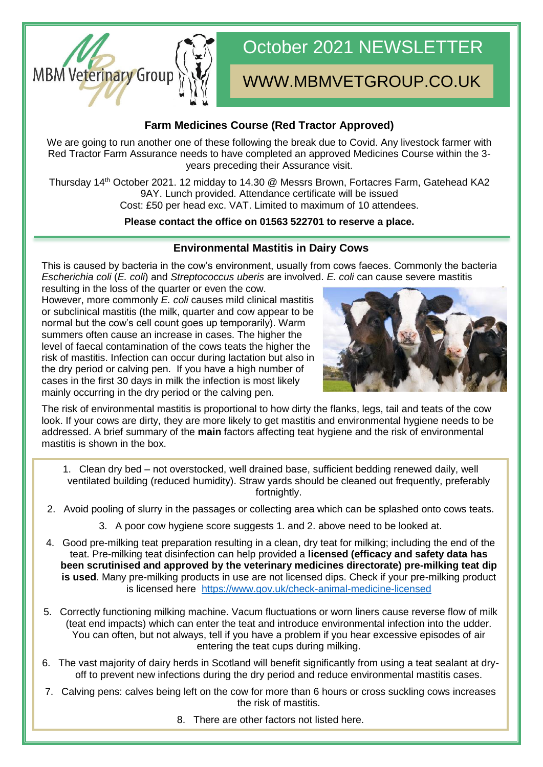

# October 2021 NEWSLETTER

## WWW.MBMVETGROUP.CO.UK

### **Farm Medicines Course (Red Tractor Approved)**

We are going to run another one of these following the break due to Covid. Any livestock farmer with Red Tractor Farm Assurance needs to have completed an approved Medicines Course within the 3 years preceding their Assurance visit.

Thursday 14th October 2021. 12 midday to 14.30 @ Messrs Brown, Fortacres Farm, Gatehead KA2 9AY. Lunch provided. Attendance certificate will be issued Cost: £50 per head exc. VAT. Limited to maximum of 10 attendees.

#### **Please contact the office on 01563 522701 to reserve a place.**

#### **Environmental Mastitis in Dairy Cows**

This is caused by bacteria in the cow's environment, usually from cows faeces. Commonly the bacteria *Escherichia coli* (*E. coli*) and *Streptococcus uberis* are involved. *E. coli* can cause severe mastitis

resulting in the loss of the quarter or even the cow. However, more commonly *E. coli* causes mild clinical mastitis or subclinical mastitis (the milk, quarter and cow appear to be normal but the cow's cell count goes up temporarily). Warm summers often cause an increase in cases. The higher the level of faecal contamination of the cows teats the higher the risk of mastitis. Infection can occur during lactation but also in the dry period or calving pen. If you have a high number of cases in the first 30 days in milk the infection is most likely mainly occurring in the dry period or the calving pen.



The risk of environmental mastitis is proportional to how dirty the flanks, legs, tail and teats of the cow look. If your cows are dirty, they are more likely to get mastitis and environmental hygiene needs to be addressed. A brief summary of the **main** factors affecting teat hygiene and the risk of environmental mastitis is shown in the box.

- 1. Clean dry bed not overstocked, well drained base, sufficient bedding renewed daily, well ventilated building (reduced humidity). Straw yards should be cleaned out frequently, preferably fortnightly.
- 2. Avoid pooling of slurry in the passages or collecting area which can be splashed onto cows teats.
	- 3. A poor cow hygiene score suggests 1. and 2. above need to be looked at.
- 4. Good pre-milking teat preparation resulting in a clean, dry teat for milking; including the end of the teat. Pre-milking teat disinfection can help provided a **licensed (efficacy and safety data has been scrutinised and approved by the veterinary medicines directorate) pre-milking teat dip is used**. Many pre-milking products in use are not licensed dips. Check if your pre-milking product is licensed here [https://www.gov.uk/check-animal-medicine-licensed](about:blank)
- 5. Correctly functioning milking machine. Vacum fluctuations or worn liners cause reverse flow of milk (teat end impacts) which can enter the teat and introduce environmental infection into the udder. You can often, but not always, tell if you have a problem if you hear excessive episodes of air entering the teat cups during milking.
- 6. The vast majority of dairy herds in Scotland will benefit significantly from using a teat sealant at dryoff to prevent new infections during the dry period and reduce environmental mastitis cases.
- 7. Calving pens: calves being left on the cow for more than 6 hours or cross suckling cows increases the risk of mastitis.
	- 8. There are other factors not listed here.